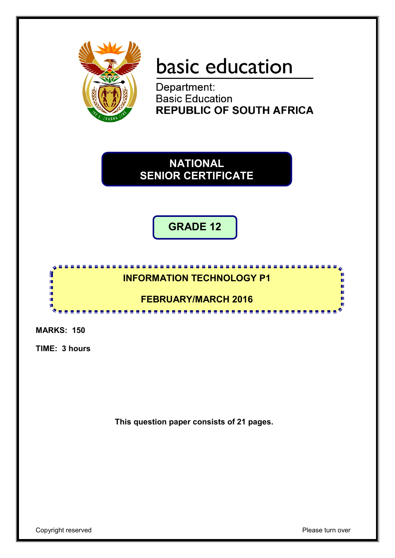

# basic education

Department: **Basic Education REPUBLIC OF SOUTH AFRICA** 

**NATIONAL SENIOR CERTIFICATE**

**GRADE 12**



**MARKS: 150**

**TIME: 3 hours**

**This question paper consists of 21 pages.**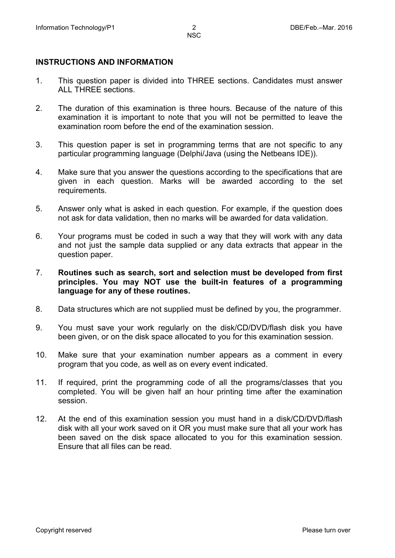## **INSTRUCTIONS AND INFORMATION**

- 1. This question paper is divided into THREE sections. Candidates must answer ALL THREE sections.
- 2. The duration of this examination is three hours. Because of the nature of this examination it is important to note that you will not be permitted to leave the examination room before the end of the examination session.
- 3. This question paper is set in programming terms that are not specific to any particular programming language (Delphi/Java (using the Netbeans IDE)).
- 4. Make sure that you answer the questions according to the specifications that are given in each question. Marks will be awarded according to the set requirements.
- 5. Answer only what is asked in each question. For example, if the question does not ask for data validation, then no marks will be awarded for data validation.
- 6. Your programs must be coded in such a way that they will work with any data and not just the sample data supplied or any data extracts that appear in the question paper.
- 7. **Routines such as search, sort and selection must be developed from first principles. You may NOT use the built-in features of a programming language for any of these routines.**
- 8. Data structures which are not supplied must be defined by you, the programmer.
- 9. You must save your work regularly on the disk/CD/DVD/flash disk you have been given, or on the disk space allocated to you for this examination session.
- 10. Make sure that your examination number appears as a comment in every program that you code, as well as on every event indicated.
- 11. If required, print the programming code of all the programs/classes that you completed. You will be given half an hour printing time after the examination session.
- 12. At the end of this examination session you must hand in a disk/CD/DVD/flash disk with all your work saved on it OR you must make sure that all your work has been saved on the disk space allocated to you for this examination session. Ensure that all files can be read.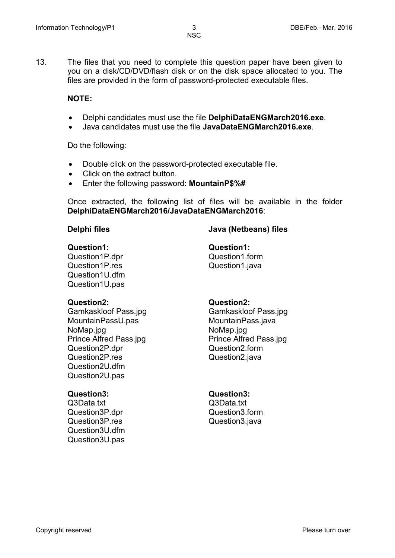13. The files that you need to complete this question paper have been given to you on a disk/CD/DVD/flash disk or on the disk space allocated to you. The files are provided in the form of password-protected executable files.

#### **NOTE:**

- Delphi candidates must use the file **DelphiDataENGMarch2016.exe**.
- Java candidates must use the file **JavaDataENGMarch2016.exe**.

Do the following:

- Double click on the password-protected executable file.
- Click on the extract button.
- Enter the following password: **MountainP\$%#**

Once extracted, the following list of files will be available in the folder **DelphiDataENGMarch2016/JavaDataENGMarch2016**:

### **Delphi files Java (Netbeans) files**

#### **Question1: Question1:**

Question1P.dpr Question1P.res Question1U.dfm Question1U.pas

Question1.form Question1.java

Gamkaskloof Pass.jpg MountainPassU.pas NoMap.jpg Prince Alfred Pass.jpg Question2P.dpr Question2P.res Question2U.dfm Question2U.pas

Q3Data.txt Question3P.dpr Question3P.res Question3U.dfm Question3U.pas

#### **Question2: Question2:**

Gamkaskloof Pass.jpg MountainPass.java NoMap.jpg Prince Alfred Pass.jpg Question2.form Question2.java

#### **Question3: Question3:**

Q3Data.txt Question3.form Question3.java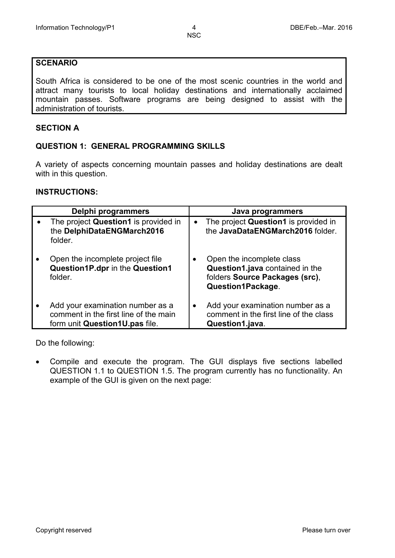### **SCENARIO**

South Africa is considered to be one of the most scenic countries in the world and attract many tourists to local holiday destinations and internationally acclaimed mountain passes. Software programs are being designed to assist with the administration of tourists.

#### **SECTION A**

#### **QUESTION 1: GENERAL PROGRAMMING SKILLS**

A variety of aspects concerning mountain passes and holiday destinations are dealt with in this question.

#### **INSTRUCTIONS:**

| Delphi programmers                                                                                          |           | Java programmers                                                                                                    |
|-------------------------------------------------------------------------------------------------------------|-----------|---------------------------------------------------------------------------------------------------------------------|
| The project Question1 is provided in<br>the DelphiDataENGMarch2016<br>folder.                               |           | The project Question1 is provided in<br>the JavaDataENGMarch2016 folder.                                            |
| Open the incomplete project file<br>Question1P.dpr in the Question1<br>folder.                              | $\bullet$ | Open the incomplete class<br>Question1.java contained in the<br>folders Source Packages (src),<br>Question1Package. |
| Add your examination number as a<br>comment in the first line of the main<br>form unit Question1U.pas file. | ٠         | Add your examination number as a<br>comment in the first line of the class<br>Question1.java.                       |

Do the following:

• Compile and execute the program. The GUI displays five sections labelled QUESTION 1.1 to QUESTION 1.5. The program currently has no functionality. An example of the GUI is given on the next page: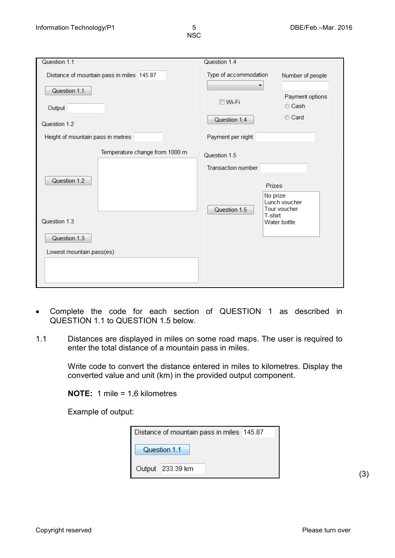| Question 1.1                                   | Question 1.4                                                                                      |                                      |
|------------------------------------------------|---------------------------------------------------------------------------------------------------|--------------------------------------|
| Distance of mountain pass in miles 145.87      | Type of accommodation<br>▼                                                                        | Number of people                     |
| Question 1.1                                   |                                                                                                   |                                      |
| Output                                         | $\blacksquare$ Wi-Fi                                                                              | Payment options<br>Cash              |
| Question 1.2                                   | Question 1.4                                                                                      | Card                                 |
| Height of mountain pass in metres              | Payment per night                                                                                 |                                      |
| Temperature change from 1000 m<br>Question 1.2 | Question 1.5<br><b>Transaction number</b><br><b>Prizes</b><br>No prize<br>Question 1.5<br>T-shirt | Lunch voucher<br><b>Tour voucher</b> |
| Question 1.3                                   |                                                                                                   | Water bottle                         |
| Question 1.3                                   |                                                                                                   |                                      |
| Lowest mountain pass(es)                       |                                                                                                   |                                      |
|                                                |                                                                                                   |                                      |

- Complete the code for each section of QUESTION 1 as described in QUESTION 1.1 to QUESTION 1.5 below.
- 1.1 Distances are displayed in miles on some road maps. The user is required to enter the total distance of a mountain pass in miles.

Write code to convert the distance entered in miles to kilometres. Display the converted value and unit (km) in the provided output component.

**NOTE:** 1 mile = 1,6 kilometres

Example of output:

| Distance of mountain pass in miles 145.87 |                  |  |  |
|-------------------------------------------|------------------|--|--|
| Question 1.1                              |                  |  |  |
|                                           | Output 233.39 km |  |  |

(3)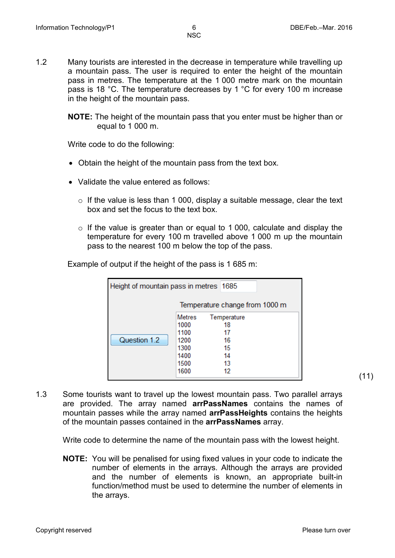1.2 Many tourists are interested in the decrease in temperature while travelling up a mountain pass. The user is required to enter the height of the mountain pass in metres. The temperature at the 1 000 metre mark on the mountain pass is 18 °C. The temperature decreases by 1 °C for every 100 m increase in the height of the mountain pass.

> **NOTE:** The height of the mountain pass that you enter must be higher than or equal to 1 000 m.

Write code to do the following:

- Obtain the height of the mountain pass from the text box.
- Validate the value entered as follows:
	- $\circ$  If the value is less than 1 000, display a suitable message, clear the text box and set the focus to the text box.
	- o If the value is greater than or equal to 1 000, calculate and display the temperature for every 100 m travelled above 1 000 m up the mountain pass to the nearest 100 m below the top of the pass.

Example of output if the height of the pass is 1 685 m:

| Height of mountain pass in metres 1685 |               |             |  |  |
|----------------------------------------|---------------|-------------|--|--|
| Temperature change from 1000 m         |               |             |  |  |
|                                        | <b>Metres</b> | Temperature |  |  |
|                                        | 1000          | 18          |  |  |
|                                        | 1100          | 17          |  |  |
| Question 1.2                           | 1200          | 16          |  |  |
|                                        | 1300          | 15          |  |  |
|                                        | 1400          | 14          |  |  |
|                                        | 1500          | 13          |  |  |
|                                        | 1600          | 12          |  |  |

1.3 Some tourists want to travel up the lowest mountain pass. Two parallel arrays are provided. The array named **arrPassNames** contains the names of mountain passes while the array named **arrPassHeights** contains the heights of the mountain passes contained in the **arrPassNames** array.

Write code to determine the name of the mountain pass with the lowest height.

**NOTE:** You will be penalised for using fixed values in your code to indicate the number of elements in the arrays. Although the arrays are provided and the number of elements is known, an appropriate built-in function/method must be used to determine the number of elements in the arrays.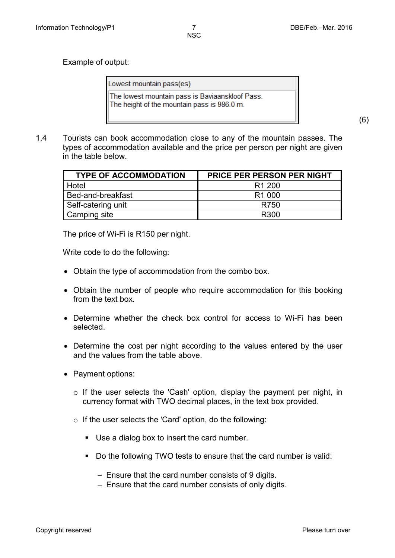Example of output:

Lowest mountain pass(es) The lowest mountain pass is Baviaanskloof Pass. The height of the mountain pass is 986.0 m.

(6)

1.4 Tourists can book accommodation close to any of the mountain passes. The types of accommodation available and the price per person per night are given in the table below.

| <b>TYPE OF ACCOMMODATION</b> | <b>PRICE PER PERSON PER NIGHT</b> |
|------------------------------|-----------------------------------|
| <b>Hotel</b>                 | R <sub>1</sub> 200                |
| Bed-and-breakfast            | R <sub>1</sub> 000                |
| Self-catering unit           | R750                              |
| Camping site                 | R300                              |

The price of Wi-Fi is R150 per night.

Write code to do the following:

- Obtain the type of accommodation from the combo box.
- Obtain the number of people who require accommodation for this booking from the text box.
- Determine whether the check box control for access to Wi-Fi has been selected.
- Determine the cost per night according to the values entered by the user and the values from the table above.
- Payment options:
	- o If the user selects the 'Cash' option, display the payment per night, in currency format with TWO decimal places, in the text box provided.
	- o If the user selects the 'Card' option, do the following:
		- Use a dialog box to insert the card number.
		- Do the following TWO tests to ensure that the card number is valid:
			- − Ensure that the card number consists of 9 digits.
			- − Ensure that the card number consists of only digits.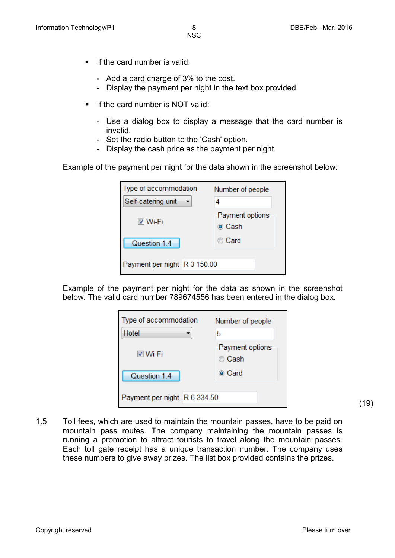- $\blacksquare$  If the card number is valid:
	- Add a card charge of 3% to the cost.
	- Display the payment per night in the text box provided.
- $\blacksquare$  If the card number is NOT valid:
	- Use a dialog box to display a message that the card number is invalid.
	- Set the radio button to the 'Cash' option.
	- Display the cash price as the payment per night.

Example of the payment per night for the data shown in the screenshot below:

| Type of accommodation        | Number of people          |  |
|------------------------------|---------------------------|--|
| Self-catering unit           |                           |  |
| l⊽ Wi-Fi                     | Payment options<br>⊚ Cash |  |
| Question 1.4                 | iiio Card                 |  |
| Payment per night R 3 150.00 |                           |  |

Example of the payment per night for the data as shown in the screenshot below. The valid card number 789674556 has been entered in the dialog box.

| Type of accommodation<br>Hotel | Number of people<br>5     |  |
|--------------------------------|---------------------------|--|
| l⊽ Wi-Fi                       | Payment options<br>© Cash |  |
| Question 1.4                   | ◉ Card                    |  |
| Payment per night R 6 334.50   |                           |  |

(19)

1.5 Toll fees, which are used to maintain the mountain passes, have to be paid on mountain pass routes. The company maintaining the mountain passes is running a promotion to attract tourists to travel along the mountain passes. Each toll gate receipt has a unique transaction number. The company uses these numbers to give away prizes. The list box provided contains the prizes.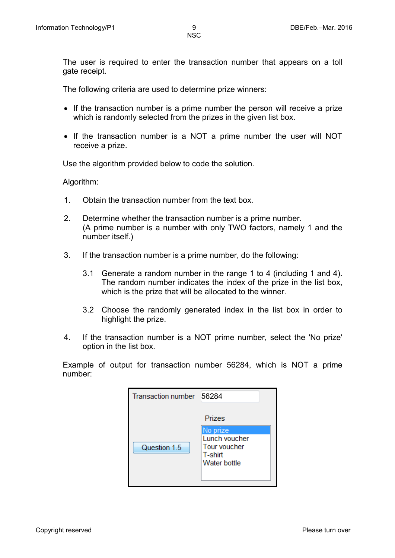The user is required to enter the transaction number that appears on a toll gate receipt.

The following criteria are used to determine prize winners:

- If the transaction number is a prime number the person will receive a prize which is randomly selected from the prizes in the given list box.
- If the transaction number is a NOT a prime number the user will NOT receive a prize.

Use the algorithm provided below to code the solution.

Algorithm:

- 1. Obtain the transaction number from the text box.
- 2. Determine whether the transaction number is a prime number. (A prime number is a number with only TWO factors, namely 1 and the number itself.)
- 3. If the transaction number is a prime number, do the following:
	- 3.1 Generate a random number in the range 1 to 4 (including 1 and 4). The random number indicates the index of the prize in the list box, which is the prize that will be allocated to the winner.
	- 3.2 Choose the randomly generated index in the list box in order to highlight the prize.
- 4. If the transaction number is a NOT prime number, select the 'No prize' option in the list box.

Example of output for transaction number 56284, which is NOT a prime number:

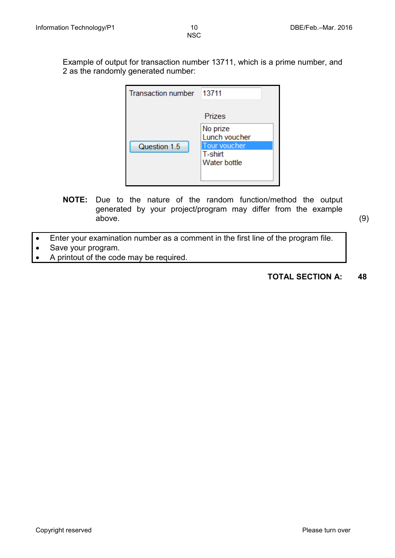Example of output for transaction number 13711, which is a prime number, and 2 as the randomly generated number:

| <b>Transaction number</b> | 13711                                   |
|---------------------------|-----------------------------------------|
|                           | Prizes                                  |
|                           | No prize<br>Lunch voucher               |
| Question 1.5              | Tour voucher<br>T-shirt<br>Water bottle |
|                           |                                         |

**NOTE:** Due to the nature of the random function/method the output generated by your project/program may differ from the example above. (9)

- Enter your examination number as a comment in the first line of the program file.
- Save your program.
- A printout of the code may be required.

### **TOTAL SECTION A: 48**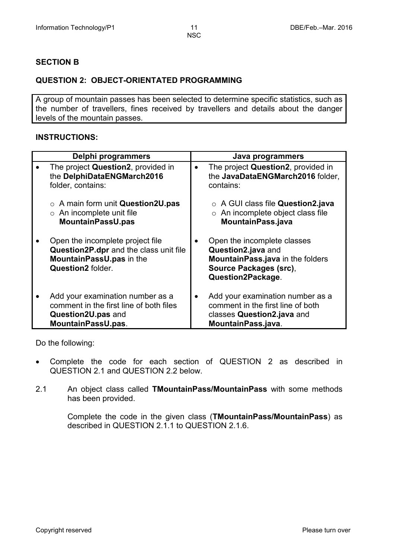#### **SECTION B**

#### **QUESTION 2: OBJECT-ORIENTATED PROGRAMMING**

A group of mountain passes has been selected to determine specific statistics, such as the number of travellers, fines received by travellers and details about the danger levels of the mountain passes.

#### **INSTRUCTIONS:**

| Delphi programmers                                                                                                                      | Java programmers                                                                                                                     |
|-----------------------------------------------------------------------------------------------------------------------------------------|--------------------------------------------------------------------------------------------------------------------------------------|
| The project Question2, provided in<br>the DelphiDataENGMarch2016<br>folder, contains:                                                   | The project Question2, provided in<br>the JavaDataENGMarch2016 folder,<br>contains:                                                  |
| $\circ$ A main form unit Question2U.pas<br>$\circ$ An incomplete unit file<br><b>MountainPassU.pas</b>                                  | $\circ$ A GUI class file Question2.java<br>$\circ$ An incomplete object class file<br>MountainPass.java                              |
| Open the incomplete project file<br>Question2P.dpr and the class unit file<br>MountainPassU.pas in the<br>Question <sub>2</sub> folder. | Open the incomplete classes<br>Question2.java and<br>MountainPass.java in the folders<br>Source Packages (src),<br>Question2Package. |
| Add your examination number as a<br>comment in the first line of both files<br>Question2U.pas and<br>MountainPassU.pas.                 | Add your examination number as a<br>comment in the first line of both<br>classes Question2.java and<br>MountainPass.java.            |

Do the following:

- Complete the code for each section of QUESTION 2 as described in QUESTION 2.1 and QUESTION 2.2 below.
- 2.1 An object class called **TMountainPass/MountainPass** with some methods has been provided.

Complete the code in the given class (**TMountainPass/MountainPass**) as described in QUESTION 2.1.1 to QUESTION 2.1.6.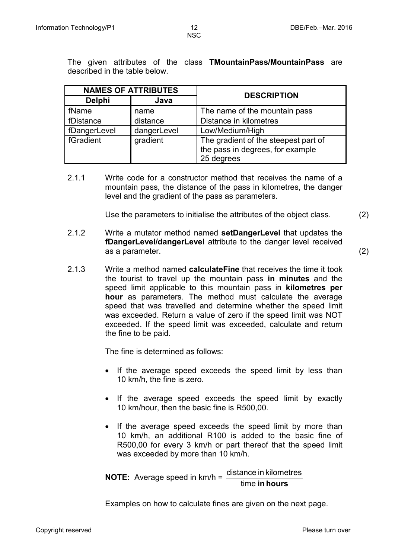The given attributes of the class **TMountainPass/MountainPass** are described in the table below.

|               | <b>NAMES OF ATTRIBUTES</b> | <b>DESCRIPTION</b>                                                                     |
|---------------|----------------------------|----------------------------------------------------------------------------------------|
| <b>Delphi</b> | Java                       |                                                                                        |
| fName         | name                       | The name of the mountain pass                                                          |
| fDistance     | distance                   | Distance in kilometres                                                                 |
| fDangerLevel  | dangerLevel                | Low/Medium/High                                                                        |
| fGradient     | gradient                   | The gradient of the steepest part of<br>the pass in degrees, for example<br>25 degrees |

2.1.1 Write code for a constructor method that receives the name of a mountain pass, the distance of the pass in kilometres, the danger level and the gradient of the pass as parameters.

Use the parameters to initialise the attributes of the object class. (2)

2.1.2 Write a mutator method named **setDangerLevel** that updates the **fDangerLevel/dangerLevel** attribute to the danger level received as a parameter. (2)

2.1.3 Write a method named **calculateFine** that receives the time it took the tourist to travel up the mountain pass **in minutes** and the speed limit applicable to this mountain pass in **kilometres per hour** as parameters. The method must calculate the average speed that was travelled and determine whether the speed limit was exceeded. Return a value of zero if the speed limit was NOT exceeded. If the speed limit was exceeded, calculate and return the fine to be paid.

The fine is determined as follows:

- If the average speed exceeds the speed limit by less than 10 km/h, the fine is zero.
- If the average speed exceeds the speed limit by exactly 10 km/hour, then the basic fine is R500,00.
- If the average speed exceeds the speed limit by more than 10 km/h, an additional R100 is added to the basic fine of R500,00 for every 3 km/h or part thereof that the speed limit was exceeded by more than 10 km/h.

**NOTE:** Average speed in km/h =  $\frac{\text{distance in kilometers}}{\text{time in hours}}$ 

Examples on how to calculate fines are given on the next page.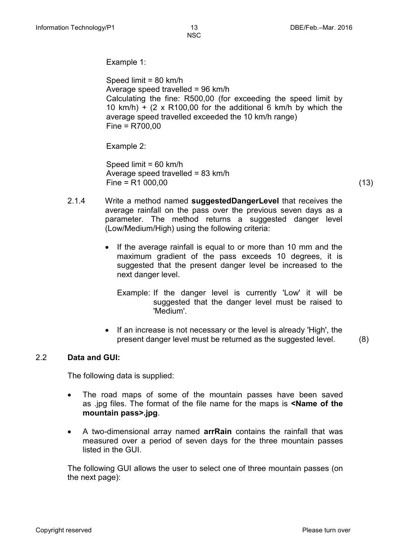Example 1:

Speed limit = 80 km/h Average speed travelled = 96 km/h Calculating the fine: R500,00 (for exceeding the speed limit by 10 km/h) +  $(2 \times R100.00)$  for the additional 6 km/h by which the average speed travelled exceeded the 10 km/h range) Fine = R700,00

Example 2:

Speed limit = 60 km/h Average speed travelled = 83 km/h  $Fine = R1 000,00$  (13)

- 2.1.4 Write a method named **suggestedDangerLevel** that receives the average rainfall on the pass over the previous seven days as a parameter. The method returns a suggested danger level (Low/Medium/High) using the following criteria:
	- If the average rainfall is equal to or more than 10 mm and the maximum gradient of the pass exceeds 10 degrees, it is suggested that the present danger level be increased to the next danger level.
		- Example: If the danger level is currently 'Low' it will be suggested that the danger level must be raised to 'Medium'.
	- If an increase is not necessary or the level is already 'High', the present danger level must be returned as the suggested level. (8)

#### 2.2 **Data and GUI:**

The following data is supplied:

- The road maps of some of the mountain passes have been saved as .jpg files. The format of the file name for the maps is **<Name of the mountain pass>.jpg**.
- A two-dimensional array named **arrRain** contains the rainfall that was measured over a period of seven days for the three mountain passes listed in the GUI.

The following GUI allows the user to select one of three mountain passes (on the next page):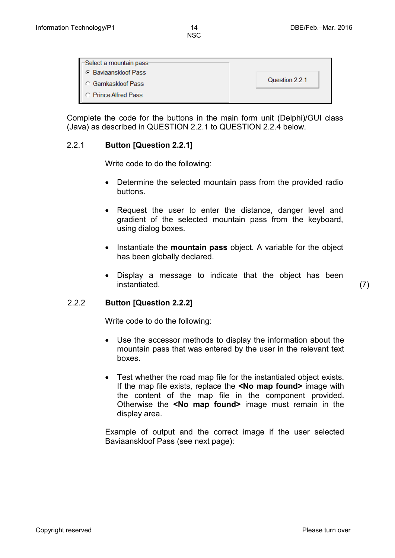| $\sqsubset$ Select a mountain pass |                |
|------------------------------------|----------------|
| <b>C</b> Baviaanskloof Pass        |                |
| <b>C</b> Gamkaskloof Pass          | Question 2.2.1 |
| <b>C</b> Prince Alfred Pass        |                |

Complete the code for the buttons in the main form unit (Delphi)/GUI class (Java) as described in QUESTION 2.2.1 to QUESTION 2.2.4 below.

#### 2.2.1 **Button [Question 2.2.1]**

Write code to do the following:

- Determine the selected mountain pass from the provided radio buttons.
- Request the user to enter the distance, danger level and gradient of the selected mountain pass from the keyboard, using dialog boxes.
- Instantiate the **mountain pass** object. A variable for the object has been globally declared.
- Display a message to indicate that the object has been instantiated. (7)

#### 2.2.2 **Button [Question 2.2.2]**

Write code to do the following:

- Use the accessor methods to display the information about the mountain pass that was entered by the user in the relevant text boxes.
- Test whether the road map file for the instantiated object exists. If the map file exists, replace the **<No map found>** image with the content of the map file in the component provided. Otherwise the **<No map found>** image must remain in the display area.

Example of output and the correct image if the user selected Baviaanskloof Pass (see next page):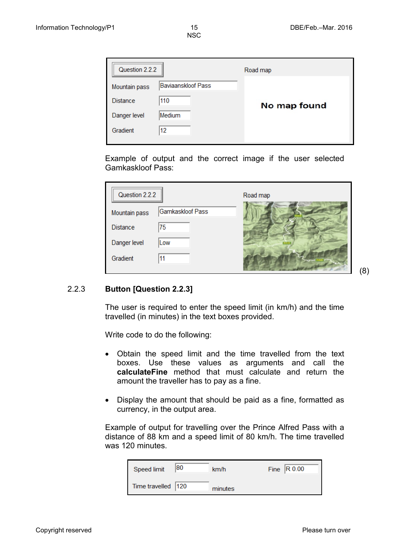| Question 2.2.2  |                           | Road map     |
|-----------------|---------------------------|--------------|
| Mountain pass   | <b>Baviaanskloof Pass</b> |              |
| <b>Distance</b> | 110                       | No map found |
| Danger level    | Medium                    |              |
| Gradient        | 12                        |              |

Example of output and the correct image if the user selected Gamkaskloof Pass:

| Question 2.2.2  |                  | Road map |
|-----------------|------------------|----------|
| Mountain pass   | Gamkaskloof Pass |          |
| <b>Distance</b> | 75               |          |
| Danger level    | Low              |          |
| Gradient        |                  |          |

#### (8)

#### 2.2.3 **Button [Question 2.2.3]**

The user is required to enter the speed limit (in km/h) and the time travelled (in minutes) in the text boxes provided.

Write code to do the following:

- Obtain the speed limit and the time travelled from the text boxes. Use these values as arguments and call the **calculateFine** method that must calculate and return the amount the traveller has to pay as a fine.
- Display the amount that should be paid as a fine, formatted as currency, in the output area.

Example of output for travelling over the Prince Alfred Pass with a distance of 88 km and a speed limit of 80 km/h. The time travelled was 120 minutes.

| Speed limit        | 80 | km/h    | Fine $\vert$ R 0.00 |
|--------------------|----|---------|---------------------|
| Time travelled 120 |    | minutes |                     |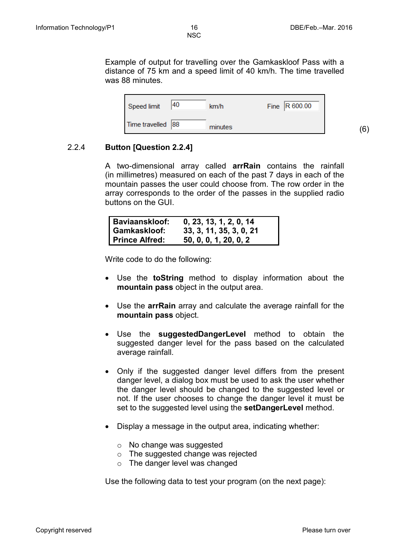(6)

NSC

Example of output for travelling over the Gamkaskloof Pass with a distance of 75 km and a speed limit of 40 km/h. The time travelled was 88 minutes.

| Speed limit       | 40 | km/h    | Fine $\vert$ R 600.00 |
|-------------------|----|---------|-----------------------|
| Time travelled 88 |    | minutes |                       |

#### 2.2.4 **Button [Question 2.2.4]**

A two-dimensional array called **arrRain** contains the rainfall (in millimetres) measured on each of the past 7 days in each of the mountain passes the user could choose from. The row order in the array corresponds to the order of the passes in the supplied radio buttons on the GUI.

| <b>Baviaanskloof:</b> | 0, 23, 13, 1, 2, 0, 14  |
|-----------------------|-------------------------|
| Gamkaskloof:          | 33, 3, 11, 35, 3, 0, 21 |
| <b>Prince Alfred:</b> | 50, 0, 0, 1, 20, 0, 2   |

Write code to do the following:

- Use the **toString** method to display information about the **mountain pass** object in the output area.
- Use the **arrRain** array and calculate the average rainfall for the **mountain pass** object.
- Use the **suggestedDangerLevel** method to obtain the suggested danger level for the pass based on the calculated average rainfall.
- Only if the suggested danger level differs from the present danger level, a dialog box must be used to ask the user whether the danger level should be changed to the suggested level or not. If the user chooses to change the danger level it must be set to the suggested level using the **setDangerLevel** method.
- Display a message in the output area, indicating whether:
	- o No change was suggested
	- o The suggested change was rejected
	- o The danger level was changed

Use the following data to test your program (on the next page):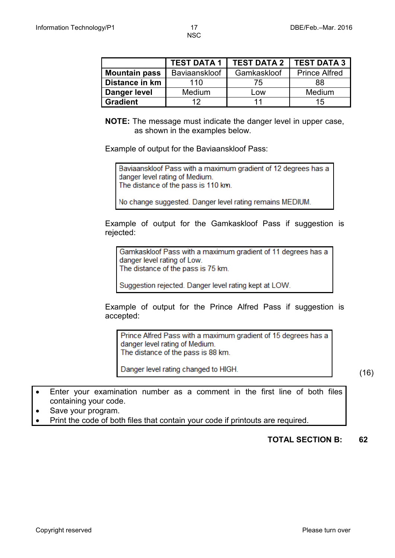|                      | <b>TEST DATA 1</b> | <b>TEST DATA 2</b> | <b>TEST DATA 3</b>   |
|----------------------|--------------------|--------------------|----------------------|
| <b>Mountain pass</b> | Baviaanskloof      | Gamkaskloof        | <b>Prince Alfred</b> |
| Distance in km       | 110                | 75                 | 88                   |
| Danger level         | <b>Medium</b>      | Low                | Medium               |
| <b>Gradient</b>      | イク                 |                    | 15                   |

**NOTE:** The message must indicate the danger level in upper case, as shown in the examples below.

Example of output for the Baviaanskloof Pass:

Baviaanskloof Pass with a maximum gradient of 12 degrees has a danger level rating of Medium. The distance of the pass is 110 km.

No change suggested. Danger level rating remains MEDIUM.

Example of output for the Gamkaskloof Pass if suggestion is rejected:

Gamkaskloof Pass with a maximum gradient of 11 degrees has a danger level rating of Low. The distance of the pass is 75 km.

Suggestion rejected. Danger level rating kept at LOW.

Example of output for the Prince Alfred Pass if suggestion is accepted:

Prince Alfred Pass with a maximum gradient of 15 degrees has a danger level rating of Medium. The distance of the pass is 88 km.

Danger level rating changed to HIGH.

(16)

- Enter your examination number as a comment in the first line of both files containing your code.
- Save your program.
- Print the code of both files that contain your code if printouts are required.

**TOTAL SECTION B: 62**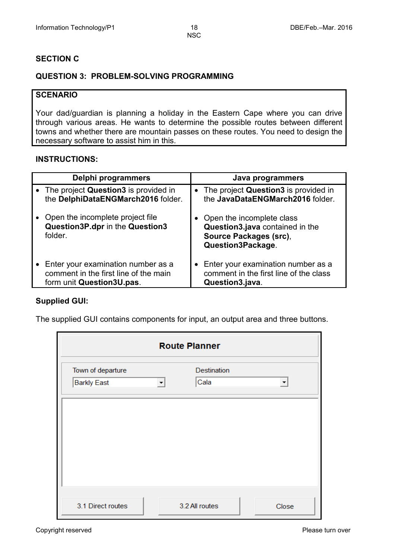#### **SECTION C**

#### **QUESTION 3: PROBLEM-SOLVING PROGRAMMING**

#### **SCENARIO**

Your dad/guardian is planning a holiday in the Eastern Cape where you can drive through various areas. He wants to determine the possible routes between different towns and whether there are mountain passes on these routes. You need to design the necessary software to assist him in this.

#### **INSTRUCTIONS:**

| Delphi programmers                                                             | Java programmers                                                                                              |
|--------------------------------------------------------------------------------|---------------------------------------------------------------------------------------------------------------|
| • The project Question3 is provided in                                         | • The project Question3 is provided in                                                                        |
| the DelphiDataENGMarch2016 folder.                                             | the JavaDataENGMarch2016 folder.                                                                              |
| Open the incomplete project file<br>Question3P.dpr in the Question3<br>folder. | • Open the incomplete class<br>Question3.java contained in the<br>Source Packages (src),<br>Question3Package. |
| • Enter your examination number as a                                           | Enter your examination number as a                                                                            |
| comment in the first line of the main                                          | comment in the first line of the class                                                                        |
| form unit Question3U.pas.                                                      | Question3.java.                                                                                               |

#### **Supplied GUI:**

The supplied GUI contains components for input, an output area and three buttons.

| <b>Route Planner</b>                    |   |                            |                      |
|-----------------------------------------|---|----------------------------|----------------------|
| Town of departure<br><b>Barkly East</b> | ▼ | <b>Destination</b><br>Cala | $\blacktriangledown$ |
|                                         |   |                            |                      |
|                                         |   |                            |                      |
|                                         |   |                            |                      |
| 3.1 Direct routes                       |   | 3.2 All routes             | Close                |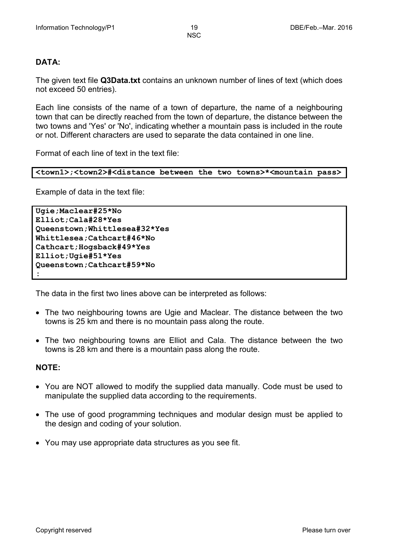#### **DATA:**

The given text file **Q3Data.txt** contains an unknown number of lines of text (which does not exceed 50 entries).

Each line consists of the name of a town of departure, the name of a neighbouring town that can be directly reached from the town of departure, the distance between the two towns and 'Yes' or 'No', indicating whether a mountain pass is included in the route or not. Different characters are used to separate the data contained in one line.

Format of each line of text in the text file:

```
<town1>;<town2>#<distance between the two towns>*<mountain pass>
```
Example of data in the text file:

```
Ugie;Maclear#25*No
Elliot;Cala#28*Yes
Queenstown;Whittlesea#32*Yes
Whittlesea;Cathcart#46*No
Cathcart;Hogsback#49*Yes
Elliot;Ugie#51*Yes
Queenstown;Cathcart#59*No
:
```
The data in the first two lines above can be interpreted as follows:

- The two neighbouring towns are Ugie and Maclear. The distance between the two towns is 25 km and there is no mountain pass along the route.
- The two neighbouring towns are Elliot and Cala. The distance between the two towns is 28 km and there is a mountain pass along the route.

#### **NOTE:**

- You are NOT allowed to modify the supplied data manually. Code must be used to manipulate the supplied data according to the requirements.
- The use of good programming techniques and modular design must be applied to the design and coding of your solution.
- You may use appropriate data structures as you see fit.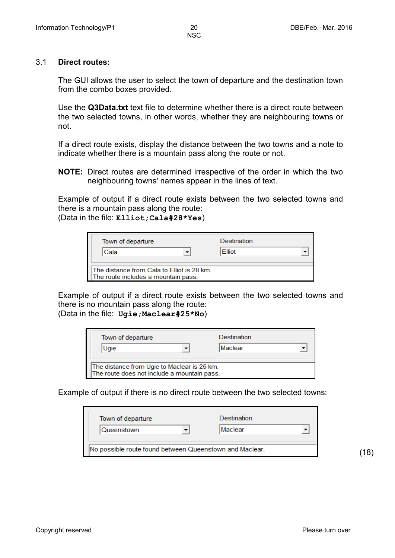#### 3.1 **Direct routes:**

The GUI allows the user to select the town of departure and the destination town from the combo boxes provided.

Use the **Q3Data.txt** text file to determine whether there is a direct route between the two selected towns, in other words, whether they are neighbouring towns or not.

If a direct route exists, display the distance between the two towns and a note to indicate whether there is a mountain pass along the route or not.

**NOTE:** Direct routes are determined irrespective of the order in which the two neighbouring towns' names appear in the lines of text.

Example of output if a direct route exists between the two selected towns and there is a mountain pass along the route: (Data in the file: **Elliot;Cala#28\*Yes**)

| Town of departure<br>Cala                                                          |  | Destination<br><b>Elliot</b> |  |
|------------------------------------------------------------------------------------|--|------------------------------|--|
| lThe distance from Cala to Flliot is 28 km.<br>The route includes a mountain pass. |  |                              |  |

Example of output if a direct route exists between the two selected towns and there is no mountain pass along the route: (Data in the file: **Ugie;Maclear#25\*No**)



Example of output if there is no direct route between the two selected towns:

| Town of departure<br>Queenstown                         |  | <b>Destination</b><br>Maclear |  |
|---------------------------------------------------------|--|-------------------------------|--|
| No possible route found between Queenstown and Maclear. |  |                               |  |

(18)